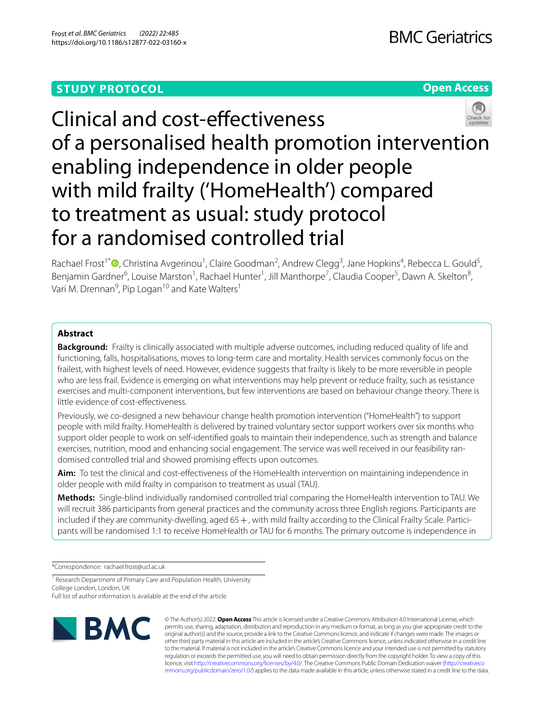## **STUDY PROTOCOL**

## **Open Access**



# Clinical and cost-efectiveness of a personalised health promotion intervention enabling independence in older people with mild frailty ('HomeHealth') compared to treatment as usual: study protocol for a randomised controlled trial

Rachael Frost<sup>1\*</sup><sup>®</sup>[,](http://orcid.org/0000-0003-3523-0052) Christina Avgerinou<sup>1</sup>, Claire Goodman<sup>2</sup>, Andrew Clegg<sup>3</sup>, Jane Hopkins<sup>4</sup>, Rebecca L. Gould<sup>5</sup>, Benjamin Gardner<sup>6</sup>, Louise Marston<sup>1</sup>, Rachael Hunter<sup>1</sup>, Jill Manthorpe<sup>7</sup>, Claudia Cooper<sup>5</sup>, Dawn A. Skelton<sup>8</sup>, Vari M. Drennan<sup>9</sup>, Pip Logan<sup>10</sup> and Kate Walters<sup>1</sup>

## **Abstract**

**Background:** Frailty is clinically associated with multiple adverse outcomes, including reduced quality of life and functioning, falls, hospitalisations, moves to long-term care and mortality. Health services commonly focus on the frailest, with highest levels of need. However, evidence suggests that frailty is likely to be more reversible in people who are less frail. Evidence is emerging on what interventions may help prevent or reduce frailty, such as resistance exercises and multi-component interventions, but few interventions are based on behaviour change theory. There is little evidence of cost-efectiveness.

Previously, we co-designed a new behaviour change health promotion intervention ("HomeHealth") to support people with mild frailty. HomeHealth is delivered by trained voluntary sector support workers over six months who support older people to work on self-identifed goals to maintain their independence, such as strength and balance exercises, nutrition, mood and enhancing social engagement. The service was well received in our feasibility randomised controlled trial and showed promising effects upon outcomes.

**Aim:** To test the clinical and cost-efectiveness of the HomeHealth intervention on maintaining independence in older people with mild frailty in comparison to treatment as usual (TAU).

**Methods:** Single-blind individually randomised controlled trial comparing the HomeHealth intervention to TAU. We will recruit 386 participants from general practices and the community across three English regions. Participants are included if they are community-dwelling, aged 65 +, with mild frailty according to the Clinical Frailty Scale. Participants will be randomised 1:1 to receive HomeHealth or TAU for 6 months. The primary outcome is independence in

\*Correspondence: rachael.frost@ucl.ac.uk

<sup>1</sup> Research Department of Primary Care and Population Health, University College London, London, UK

Full list of author information is available at the end of the article



© The Author(s) 2022. **Open Access** This article is licensed under a Creative Commons Attribution 4.0 International License, which permits use, sharing, adaptation, distribution and reproduction in any medium or format, as long as you give appropriate credit to the original author(s) and the source, provide a link to the Creative Commons licence, and indicate if changes were made. The images or other third party material in this article are included in the article's Creative Commons licence, unless indicated otherwise in a credit line to the material. If material is not included in the article's Creative Commons licence and your intended use is not permitted by statutory regulation or exceeds the permitted use, you will need to obtain permission directly from the copyright holder. To view a copy of this licence, visit [http://creativecommons.org/licenses/by/4.0/.](http://creativecommons.org/licenses/by/4.0/) The Creative Commons Public Domain Dedication waiver ([http://creativeco](http://creativecommons.org/publicdomain/zero/1.0/) [mmons.org/publicdomain/zero/1.0/](http://creativecommons.org/publicdomain/zero/1.0/)) applies to the data made available in this article, unless otherwise stated in a credit line to the data.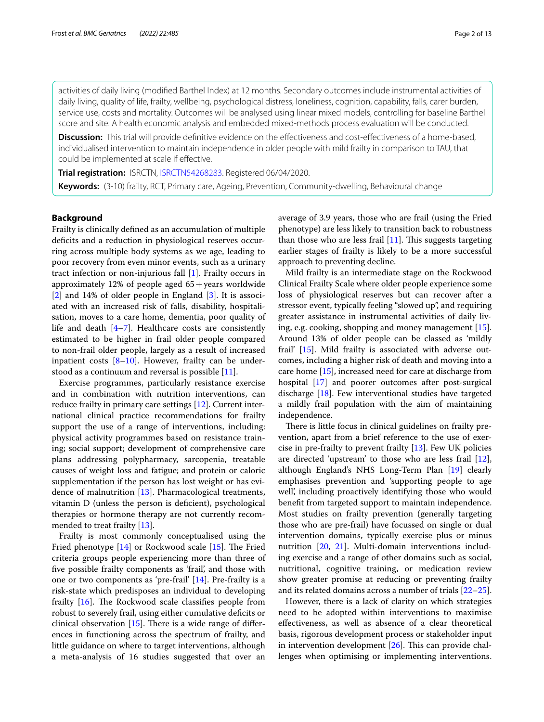activities of daily living (modifed Barthel Index) at 12 months. Secondary outcomes include instrumental activities of daily living, quality of life, frailty, wellbeing, psychological distress, loneliness, cognition, capability, falls, carer burden, service use, costs and mortality. Outcomes will be analysed using linear mixed models, controlling for baseline Barthel score and site. A health economic analysis and embedded mixed-methods process evaluation will be conducted.

**Discussion:** This trial will provide definitive evidence on the effectiveness and cost-effectiveness of a home-based, individualised intervention to maintain independence in older people with mild frailty in comparison to TAU, that could be implemented at scale if efective.

**Trial registration:** ISRCTN, [ISRCTN54268283](https://www.isrctn.com/ISRCTN54268283). Registered 06/04/2020.

**Keywords:** (3-10) frailty, RCT, Primary care, Ageing, Prevention, Community-dwelling, Behavioural change

## **Background**

Frailty is clinically defned as an accumulation of multiple deficits and a reduction in physiological reserves occurring across multiple body systems as we age, leading to poor recovery from even minor events, such as a urinary tract infection or non-injurious fall [\[1](#page-10-0)]. Frailty occurs in approximately 12% of people aged  $65 + \text{years}$  worldwide [[2\]](#page-10-1) and 14% of older people in England [[3\]](#page-10-2). It is associated with an increased risk of falls, disability, hospitalisation, moves to a care home, dementia, poor quality of life and death  $[4-7]$  $[4-7]$ . Healthcare costs are consistently estimated to be higher in frail older people compared to non-frail older people, largely as a result of increased inpatient costs [\[8](#page-10-5)[–10](#page-10-6)]. However, frailty can be understood as a continuum and reversal is possible  $[11]$  $[11]$  $[11]$ .

Exercise programmes, particularly resistance exercise and in combination with nutrition interventions, can reduce frailty in primary care settings [\[12](#page-10-8)]. Current international clinical practice recommendations for frailty support the use of a range of interventions, including: physical activity programmes based on resistance training; social support; development of comprehensive care plans addressing polypharmacy, sarcopenia, treatable causes of weight loss and fatigue; and protein or caloric supplementation if the person has lost weight or has evidence of malnutrition [[13\]](#page-10-9). Pharmacological treatments, vitamin D (unless the person is defcient), psychological therapies or hormone therapy are not currently recommended to treat frailty [\[13\]](#page-10-9).

Frailty is most commonly conceptualised using the Fried phenotype  $[14]$  or Rockwood scale  $[15]$  $[15]$ . The Fried criteria groups people experiencing more than three of fve possible frailty components as 'frail', and those with one or two components as 'pre-frail' [[14\]](#page-10-10). Pre-frailty is a risk-state which predisposes an individual to developing frailty  $[16]$  $[16]$ . The Rockwood scale classifies people from robust to severely frail, using either cumulative defcits or clinical observation  $[15]$  $[15]$  $[15]$ . There is a wide range of differences in functioning across the spectrum of frailty, and little guidance on where to target interventions, although a meta-analysis of 16 studies suggested that over an average of 3.9 years, those who are frail (using the Fried phenotype) are less likely to transition back to robustness than those who are less frail  $[11]$  $[11]$ . This suggests targeting earlier stages of frailty is likely to be a more successful approach to preventing decline.

Mild frailty is an intermediate stage on the Rockwood Clinical Frailty Scale where older people experience some loss of physiological reserves but can recover after a stressor event, typically feeling "slowed up", and requiring greater assistance in instrumental activities of daily living, e.g. cooking, shopping and money management [\[15](#page-10-11)]. Around 13% of older people can be classed as 'mildly frail' [\[15\]](#page-10-11). Mild frailty is associated with adverse outcomes, including a higher risk of death and moving into a care home [[15\]](#page-10-11), increased need for care at discharge from hospital [[17\]](#page-10-13) and poorer outcomes after post-surgical discharge [\[18](#page-10-14)]. Few interventional studies have targeted a mildly frail population with the aim of maintaining independence.

There is little focus in clinical guidelines on frailty prevention, apart from a brief reference to the use of exercise in pre-frailty to prevent frailty [\[13](#page-10-9)]. Few UK policies are directed 'upstream' to those who are less frail [\[12](#page-10-8)], although England's NHS Long-Term Plan [[19](#page-10-15)] clearly emphasises prevention and 'supporting people to age well', including proactively identifying those who would beneft from targeted support to maintain independence. Most studies on frailty prevention (generally targeting those who are pre-frail) have focussed on single or dual intervention domains, typically exercise plus or minus nutrition [[20,](#page-10-16) [21\]](#page-10-17). Multi-domain interventions including exercise and a range of other domains such as social, nutritional, cognitive training, or medication review show greater promise at reducing or preventing frailty and its related domains across a number of trials [[22](#page-10-18)[–25](#page-10-19)].

However, there is a lack of clarity on which strategies need to be adopted within interventions to maximise efectiveness, as well as absence of a clear theoretical basis, rigorous development process or stakeholder input in intervention development  $[26]$  $[26]$ . This can provide challenges when optimising or implementing interventions.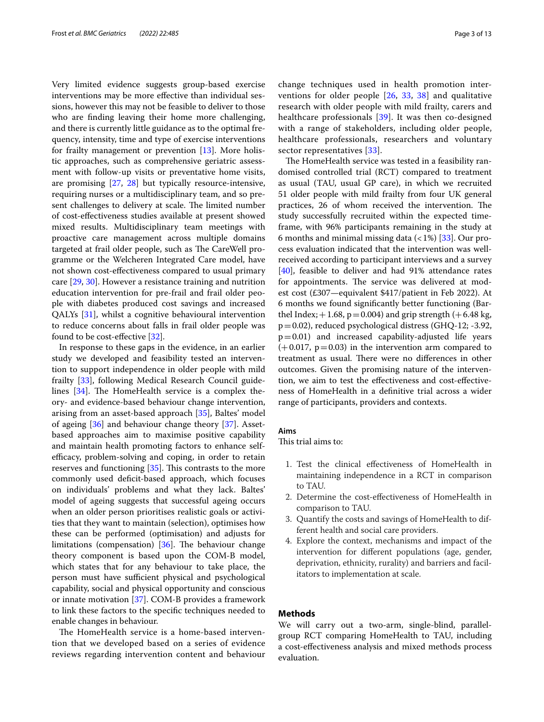Very limited evidence suggests group-based exercise interventions may be more efective than individual sessions, however this may not be feasible to deliver to those who are fnding leaving their home more challenging, and there is currently little guidance as to the optimal frequency, intensity, time and type of exercise interventions for frailty management or prevention  $[13]$  $[13]$ . More holistic approaches, such as comprehensive geriatric assessment with follow-up visits or preventative home visits, are promising [[27,](#page-10-21) [28\]](#page-10-22) but typically resource-intensive, requiring nurses or a multidisciplinary team, and so present challenges to delivery at scale. The limited number of cost-efectiveness studies available at present showed mixed results. Multidisciplinary team meetings with proactive care management across multiple domains targeted at frail older people, such as The CareWell programme or the Welcheren Integrated Care model, have not shown cost-efectiveness compared to usual primary care [\[29](#page-10-23), [30\]](#page-10-24). However a resistance training and nutrition education intervention for pre-frail and frail older people with diabetes produced cost savings and increased QALYs [\[31](#page-10-25)], whilst a cognitive behavioural intervention to reduce concerns about falls in frail older people was found to be cost-efective [\[32](#page-10-26)].

In response to these gaps in the evidence, in an earlier study we developed and feasibility tested an intervention to support independence in older people with mild frailty [\[33\]](#page-10-27), following Medical Research Council guidelines  $[34]$  $[34]$  $[34]$ . The HomeHealth service is a complex theory- and evidence-based behaviour change intervention, arising from an asset-based approach [\[35\]](#page-10-29), Baltes' model of ageing [\[36\]](#page-10-30) and behaviour change theory [\[37\]](#page-11-0). Assetbased approaches aim to maximise positive capability and maintain health promoting factors to enhance selfefficacy, problem-solving and coping, in order to retain reserves and functioning  $[35]$  $[35]$ . This contrasts to the more commonly used deficit-based approach, which focuses on individuals' problems and what they lack. Baltes' model of ageing suggests that successful ageing occurs when an older person prioritises realistic goals or activities that they want to maintain (selection), optimises how these can be performed (optimisation) and adjusts for limitations (compensation)  $[36]$  $[36]$ . The behaviour change theory component is based upon the COM-B model, which states that for any behaviour to take place, the person must have sufficient physical and psychological capability, social and physical opportunity and conscious or innate motivation [\[37](#page-11-0)]. COM-B provides a framework to link these factors to the specifc techniques needed to enable changes in behaviour.

The HomeHealth service is a home-based intervention that we developed based on a series of evidence reviews regarding intervention content and behaviour change techniques used in health promotion interventions for older people [\[26](#page-10-20), [33](#page-10-27), [38\]](#page-11-1) and qualitative research with older people with mild frailty, carers and healthcare professionals [[39](#page-11-2)]. It was then co-designed with a range of stakeholders, including older people, healthcare professionals, researchers and voluntary sector representatives [[33](#page-10-27)].

The HomeHealth service was tested in a feasibility randomised controlled trial (RCT) compared to treatment as usual (TAU, usual GP care), in which we recruited 51 older people with mild frailty from four UK general practices, 26 of whom received the intervention. The study successfully recruited within the expected timeframe, with 96% participants remaining in the study at 6 months and minimal missing data  $\left($  < 1%) [[33\]](#page-10-27). Our process evaluation indicated that the intervention was wellreceived according to participant interviews and a survey [[40\]](#page-11-3), feasible to deliver and had 91% attendance rates for appointments. The service was delivered at modest cost (£307—equivalent \$417/patient in Feb 2022). At 6 months we found signifcantly better functioning (Barthel Index;  $+1.68$ ,  $p=0.004$ ) and grip strength ( $+6.48$  kg, p=0.02), reduced psychological distress (GHQ-12; -3.92,  $p=0.01$ ) and increased capability-adjusted life years  $(+0.017, p=0.03)$  in the intervention arm compared to treatment as usual. There were no differences in other outcomes. Given the promising nature of the intervention, we aim to test the efectiveness and cost-efectiveness of HomeHealth in a defnitive trial across a wider range of participants, providers and contexts.

#### **Aims**

This trial aims to:

- 1. Test the clinical efectiveness of HomeHealth in maintaining independence in a RCT in comparison to TAU.
- 2. Determine the cost-efectiveness of HomeHealth in comparison to TAU.
- 3. Quantify the costs and savings of HomeHealth to different health and social care providers.
- 4. Explore the context, mechanisms and impact of the intervention for diferent populations (age, gender, deprivation, ethnicity, rurality) and barriers and facilitators to implementation at scale.

## **Methods**

We will carry out a two-arm, single-blind, parallelgroup RCT comparing HomeHealth to TAU, including a cost-efectiveness analysis and mixed methods process evaluation.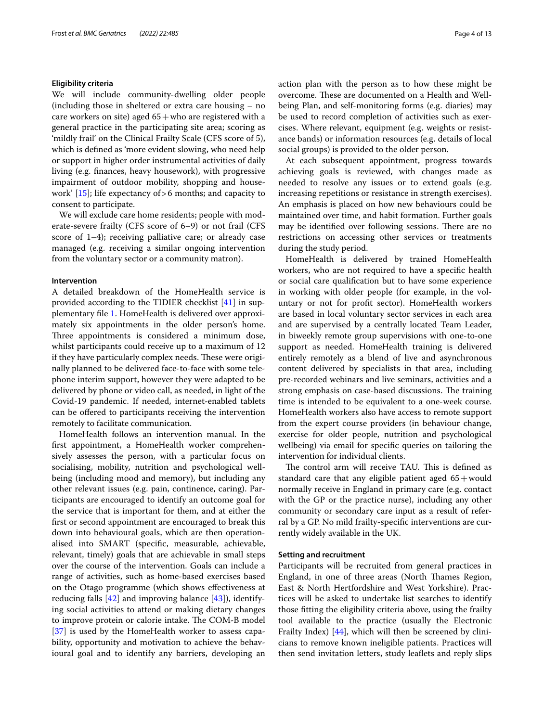#### **Eligibility criteria**

We will include community-dwelling older people (including those in sheltered or extra care housing – no care workers on site) aged  $65+$ who are registered with a general practice in the participating site area; scoring as 'mildly frail' on the Clinical Frailty Scale (CFS score of 5), which is defned as 'more evident slowing, who need help or support in higher order instrumental activities of daily living (e.g. fnances, heavy housework), with progressive impairment of outdoor mobility, shopping and housework' [\[15](#page-10-11)]; life expectancy of>6 months; and capacity to consent to participate.

We will exclude care home residents; people with moderate-severe frailty (CFS score of 6–9) or not frail (CFS score of 1–4); receiving palliative care; or already case managed (e.g. receiving a similar ongoing intervention from the voluntary sector or a community matron).

#### **Intervention**

A detailed breakdown of the HomeHealth service is provided according to the TIDIER checklist [\[41\]](#page-11-4) in supplementary fle [1.](#page-9-0) HomeHealth is delivered over approximately six appointments in the older person's home. Three appointments is considered a minimum dose, whilst participants could receive up to a maximum of 12 if they have particularly complex needs. These were originally planned to be delivered face-to-face with some telephone interim support, however they were adapted to be delivered by phone or video call, as needed, in light of the Covid-19 pandemic. If needed, internet-enabled tablets can be ofered to participants receiving the intervention remotely to facilitate communication.

HomeHealth follows an intervention manual. In the frst appointment, a HomeHealth worker comprehensively assesses the person, with a particular focus on socialising, mobility, nutrition and psychological wellbeing (including mood and memory), but including any other relevant issues (e.g. pain, continence, caring). Participants are encouraged to identify an outcome goal for the service that is important for them, and at either the frst or second appointment are encouraged to break this down into behavioural goals, which are then operationalised into SMART (specifc, measurable, achievable, relevant, timely) goals that are achievable in small steps over the course of the intervention. Goals can include a range of activities, such as home-based exercises based on the Otago programme (which shows efectiveness at reducing falls  $[42]$  and improving balance  $[43]$  $[43]$ ), identifying social activities to attend or making dietary changes to improve protein or calorie intake. The COM-B model [[37\]](#page-11-0) is used by the HomeHealth worker to assess capability, opportunity and motivation to achieve the behavioural goal and to identify any barriers, developing an action plan with the person as to how these might be overcome. These are documented on a Health and Wellbeing Plan, and self-monitoring forms (e.g. diaries) may be used to record completion of activities such as exercises. Where relevant, equipment (e.g. weights or resistance bands) or information resources (e.g. details of local social groups) is provided to the older person.

At each subsequent appointment, progress towards achieving goals is reviewed, with changes made as needed to resolve any issues or to extend goals (e.g. increasing repetitions or resistance in strength exercises). An emphasis is placed on how new behaviours could be maintained over time, and habit formation. Further goals may be identified over following sessions. There are no restrictions on accessing other services or treatments during the study period.

HomeHealth is delivered by trained HomeHealth workers, who are not required to have a specifc health or social care qualifcation but to have some experience in working with older people (for example, in the voluntary or not for proft sector). HomeHealth workers are based in local voluntary sector services in each area and are supervised by a centrally located Team Leader, in biweekly remote group supervisions with one-to-one support as needed. HomeHealth training is delivered entirely remotely as a blend of live and asynchronous content delivered by specialists in that area, including pre-recorded webinars and live seminars, activities and a strong emphasis on case-based discussions. The training time is intended to be equivalent to a one-week course. HomeHealth workers also have access to remote support from the expert course providers (in behaviour change, exercise for older people, nutrition and psychological wellbeing) via email for specifc queries on tailoring the intervention for individual clients.

The control arm will receive TAU. This is defined as standard care that any eligible patient aged  $65+$ would normally receive in England in primary care (e.g. contact with the GP or the practice nurse), including any other community or secondary care input as a result of referral by a GP. No mild frailty-specifc interventions are currently widely available in the UK.

#### **Setting and recruitment**

Participants will be recruited from general practices in England, in one of three areas (North Thames Region, East & North Hertfordshire and West Yorkshire). Practices will be asked to undertake list searches to identify those ftting the eligibility criteria above, using the frailty tool available to the practice (usually the Electronic Frailty Index) [[44](#page-11-7)], which will then be screened by clinicians to remove known ineligible patients. Practices will then send invitation letters, study leafets and reply slips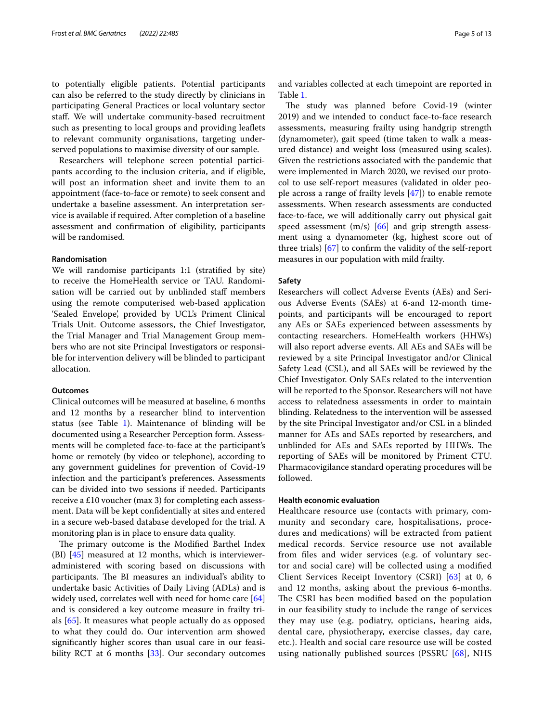to potentially eligible patients. Potential participants can also be referred to the study directly by clinicians in participating General Practices or local voluntary sector staf. We will undertake community-based recruitment such as presenting to local groups and providing leafets to relevant community organisations, targeting underserved populations to maximise diversity of our sample.

Researchers will telephone screen potential participants according to the inclusion criteria, and if eligible, will post an information sheet and invite them to an appointment (face-to-face or remote) to seek consent and undertake a baseline assessment. An interpretation service is available if required. After completion of a baseline assessment and confrmation of eligibility, participants will be randomised.

#### **Randomisation**

We will randomise participants 1:1 (stratifed by site) to receive the HomeHealth service or TAU. Randomisation will be carried out by unblinded staf members using the remote computerised web-based application 'Sealed Envelope', provided by UCL's Priment Clinical Trials Unit. Outcome assessors, the Chief Investigator, the Trial Manager and Trial Management Group members who are not site Principal Investigators or responsible for intervention delivery will be blinded to participant allocation.

## **Outcomes**

Clinical outcomes will be measured at baseline, 6 months and 12 months by a researcher blind to intervention status (see Table  $1$ ). Maintenance of blinding will be documented using a Researcher Perception form. Assessments will be completed face-to-face at the participant's home or remotely (by video or telephone), according to any government guidelines for prevention of Covid-19 infection and the participant's preferences. Assessments can be divided into two sessions if needed. Participants receive a £10 voucher (max 3) for completing each assessment. Data will be kept confdentially at sites and entered in a secure web-based database developed for the trial. A monitoring plan is in place to ensure data quality.

The primary outcome is the Modified Barthel Index (BI)  $[45]$  $[45]$  measured at 12 months, which is intervieweradministered with scoring based on discussions with participants. The BI measures an individual's ability to undertake basic Activities of Daily Living (ADLs) and is widely used, correlates well with need for home care [[64](#page-11-9)] and is considered a key outcome measure in frailty trials [[65\]](#page-11-10). It measures what people actually do as opposed to what they could do. Our intervention arm showed signifcantly higher scores than usual care in our feasi-bility RCT at 6 months [[33](#page-10-27)]. Our secondary outcomes and variables collected at each timepoint are reported in Table [1](#page-5-0).

The study was planned before Covid-19 (winter 2019) and we intended to conduct face-to-face research assessments, measuring frailty using handgrip strength (dynamometer), gait speed (time taken to walk a measured distance) and weight loss (measured using scales). Given the restrictions associated with the pandemic that were implemented in March 2020, we revised our protocol to use self-report measures (validated in older people across a range of frailty levels [\[47](#page-11-11)]) to enable remote assessments. When research assessments are conducted face-to-face, we will additionally carry out physical gait speed assessment  $(m/s)$  [\[66\]](#page-11-12) and grip strength assessment using a dynamometer (kg, highest score out of three trials) [\[67](#page-11-13)] to confrm the validity of the self-report measures in our population with mild frailty.

#### **Safety**

Researchers will collect Adverse Events (AEs) and Serious Adverse Events (SAEs) at 6-and 12-month timepoints, and participants will be encouraged to report any AEs or SAEs experienced between assessments by contacting researchers. HomeHealth workers (HHWs) will also report adverse events. All AEs and SAEs will be reviewed by a site Principal Investigator and/or Clinical Safety Lead (CSL), and all SAEs will be reviewed by the Chief Investigator. Only SAEs related to the intervention will be reported to the Sponsor. Researchers will not have access to relatedness assessments in order to maintain blinding. Relatedness to the intervention will be assessed by the site Principal Investigator and/or CSL in a blinded manner for AEs and SAEs reported by researchers, and unblinded for AEs and SAEs reported by HHWs. The reporting of SAEs will be monitored by Priment CTU. Pharmacovigilance standard operating procedures will be followed.

#### **Health economic evaluation**

Healthcare resource use (contacts with primary, community and secondary care, hospitalisations, procedures and medications) will be extracted from patient medical records. Service resource use not available from fles and wider services (e.g. of voluntary sector and social care) will be collected using a modifed Client Services Receipt Inventory (CSRI) [[63\]](#page-11-14) at 0, 6 and 12 months, asking about the previous 6-months. The CSRI has been modified based on the population in our feasibility study to include the range of services they may use (e.g. podiatry, opticians, hearing aids, dental care, physiotherapy, exercise classes, day care, etc.). Health and social care resource use will be costed using nationally published sources (PSSRU [\[68](#page-11-15)], NHS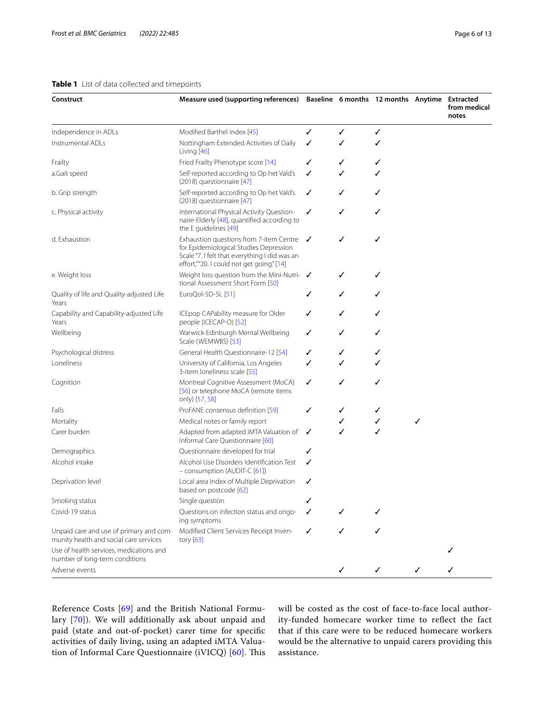## <span id="page-5-0"></span>**Table 1** List of data collected and timepoints

| Construct                                                                         | Measure used (supporting references) Baseline 6 months 12 months Anytime Extracted                                                                                              |   |   |   |   | from medical<br>notes |
|-----------------------------------------------------------------------------------|---------------------------------------------------------------------------------------------------------------------------------------------------------------------------------|---|---|---|---|-----------------------|
| Independence in ADLs                                                              | Modified Barthel Index [45]                                                                                                                                                     | ✓ | ✓ | ✓ |   |                       |
| Instrumental ADLs                                                                 | Nottingham Extended Activities of Daily<br>Living [46]                                                                                                                          | ✓ | ✓ | ✓ |   |                       |
| Frailty                                                                           | Fried Frailty Phenotype score [14]                                                                                                                                              | ✓ | ✓ | ✓ |   |                       |
| a.Gait speed                                                                      | Self-reported according to Op het Vald's<br>(2018) questionnaire [47]                                                                                                           | ✓ | ✓ | ✓ |   |                       |
| b. Grip strength                                                                  | Self-reported according to Op het Vald's<br>(2018) questionnaire [47]                                                                                                           | ✓ | ✓ | ✓ |   |                       |
| c. Physical activity                                                              | International Physical Activity Question-<br>naire-Elderly [48], quantified according to<br>the E guidelines [49]                                                               | ✓ | ✓ | ✓ |   |                       |
| d. Exhaustion                                                                     | Exhaustion questions from 7-item Centre<br>for Epidemiological Studies Depression<br>Scale "7. I felt that everything I did was an<br>effort,""20. I could not get going." [14] | ✓ | ✓ | ✓ |   |                       |
| e. Weight loss                                                                    | Weight loss question from the Mini-Nutri-<br>tional Assessment Short Form [50]                                                                                                  |   | ✓ | ✓ |   |                       |
| Quality of life and Quality-adjusted Life<br>Years                                | EuroQol-5D-5L [51]                                                                                                                                                              | ✓ | ✓ | ✓ |   |                       |
| Capability and Capability-adjusted Life<br>Years                                  | ICEpop CAPability measure for Older<br>people (ICECAP-O) [52]                                                                                                                   | ✓ | ✓ | ✓ |   |                       |
| Wellbeing                                                                         | Warwick-Edinburgh Mental Wellbeing<br>Scale (WEMWBS) [53]                                                                                                                       | ✓ | ✓ | ✓ |   |                       |
| Psychological distress                                                            | General Health Questionnaire-12 [54]                                                                                                                                            | ✓ | ✓ | ✓ |   |                       |
| Loneliness                                                                        | University of California, Los Angeles<br>3-item loneliness scale [55]                                                                                                           | ✓ | ✓ | ✓ |   |                       |
| Cognition                                                                         | Montreal Cognitive Assessment (MoCA)<br>[56] or telephone MoCA (remote items<br>only) [57, 58]                                                                                  | ✓ | ✓ | ✓ |   |                       |
| Falls                                                                             | ProFANE consensus definition [59]                                                                                                                                               | ✓ | ✓ | ✓ |   |                       |
| Mortality                                                                         | Medical notes or family report                                                                                                                                                  |   | ✓ | ✓ | ✓ |                       |
| Carer burden                                                                      | Adapted from adapted iMTA Valuation of<br>Informal Care Questionnaire [60]                                                                                                      | ✓ | ✓ | ✓ |   |                       |
| Demographics                                                                      | Questionnaire developed for trial                                                                                                                                               | ✓ |   |   |   |                       |
| Alcohol intake                                                                    | Alcohol Use Disorders Identification Test<br>- consumption (AUDIT-C [61])                                                                                                       | ✓ |   |   |   |                       |
| Deprivation level                                                                 | Local area Index of Multiple Deprivation<br>based on postcode [62]                                                                                                              | ✓ |   |   |   |                       |
| Smoking status                                                                    | Single question                                                                                                                                                                 |   |   |   |   |                       |
| Covid-19 status                                                                   | Questions on infection status and ongo-<br>ing symptoms                                                                                                                         |   |   |   |   |                       |
| Unpaid care and use of primary and com-<br>munity health and social care services | Modified Client Services Receipt Inven-<br>tory $[63]$                                                                                                                          | ✓ |   |   |   |                       |
| Use of health services, medications and<br>number of long-term conditions         |                                                                                                                                                                                 |   |   |   |   |                       |
| Adverse events                                                                    |                                                                                                                                                                                 |   | ✓ | ✓ |   |                       |

Reference Costs [[69\]](#page-11-16) and the British National Formulary [\[70\]](#page-11-17)). We will additionally ask about unpaid and paid (state and out-of-pocket) carer time for specifc activities of daily living, using an adapted iMTA Valua-tion of Informal Care Questionnaire (iVICQ) [\[60](#page-11-18)]. This will be costed as the cost of face-to-face local authority-funded homecare worker time to refect the fact that if this care were to be reduced homecare workers would be the alternative to unpaid carers providing this assistance.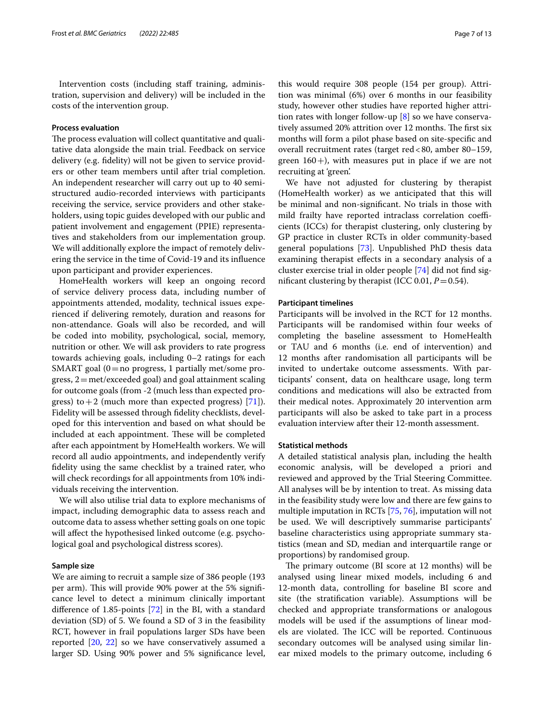Intervention costs (including staff training, administration, supervision and delivery) will be included in the costs of the intervention group.

#### **Process evaluation**

The process evaluation will collect quantitative and qualitative data alongside the main trial. Feedback on service delivery (e.g. fdelity) will not be given to service providers or other team members until after trial completion. An independent researcher will carry out up to 40 semistructured audio-recorded interviews with participants receiving the service, service providers and other stakeholders, using topic guides developed with our public and patient involvement and engagement (PPIE) representatives and stakeholders from our implementation group. We will additionally explore the impact of remotely delivering the service in the time of Covid-19 and its infuence upon participant and provider experiences.

HomeHealth workers will keep an ongoing record of service delivery process data, including number of appointments attended, modality, technical issues experienced if delivering remotely, duration and reasons for non-attendance. Goals will also be recorded, and will be coded into mobility, psychological, social, memory, nutrition or other. We will ask providers to rate progress towards achieving goals, including 0–2 ratings for each SMART goal  $(0=$ no progress, 1 partially met/some progress, 2=met/exceeded goal) and goal attainment scaling for outcome goals (from -2 (much less than expected progress) to  $+2$  (much more than expected progress) [\[71\]](#page-11-34)). Fidelity will be assessed through fdelity checklists, developed for this intervention and based on what should be included at each appointment. These will be completed after each appointment by HomeHealth workers. We will record all audio appointments, and independently verify fdelity using the same checklist by a trained rater, who will check recordings for all appointments from 10% individuals receiving the intervention.

We will also utilise trial data to explore mechanisms of impact, including demographic data to assess reach and outcome data to assess whether setting goals on one topic will afect the hypothesised linked outcome (e.g. psychological goal and psychological distress scores).

## **Sample size**

We are aiming to recruit a sample size of 386 people (193 per arm). This will provide 90% power at the 5% significance level to detect a minimum clinically important diference of 1.85-points [\[72](#page-11-35)] in the BI, with a standard deviation (SD) of 5. We found a SD of 3 in the feasibility RCT, however in frail populations larger SDs have been reported [[20](#page-10-16), [22\]](#page-10-18) so we have conservatively assumed a larger SD. Using 90% power and 5% signifcance level,

this would require 308 people (154 per group). Attrition was minimal (6%) over 6 months in our feasibility study, however other studies have reported higher attrition rates with longer follow-up  $[8]$  $[8]$  so we have conservatively assumed 20% attrition over 12 months. The first six months will form a pilot phase based on site-specifc and overall recruitment rates (target red<80, amber 80–159, green  $160+$ ), with measures put in place if we are not recruiting at 'green'.

We have not adjusted for clustering by therapist (HomeHealth worker) as we anticipated that this will be minimal and non-signifcant. No trials in those with mild frailty have reported intraclass correlation coefficients (ICCs) for therapist clustering, only clustering by GP practice in cluster RCTs in older community-based general populations [[73\]](#page-11-36). Unpublished PhD thesis data examining therapist efects in a secondary analysis of a cluster exercise trial in older people [\[74](#page-11-37)] did not fnd significant clustering by therapist (ICC 0.01,  $P = 0.54$ ).

## **Participant timelines**

Participants will be involved in the RCT for 12 months. Participants will be randomised within four weeks of completing the baseline assessment to HomeHealth or TAU and 6 months (i.e. end of intervention) and 12 months after randomisation all participants will be invited to undertake outcome assessments. With participants' consent, data on healthcare usage, long term conditions and medications will also be extracted from their medical notes. Approximately 20 intervention arm participants will also be asked to take part in a process evaluation interview after their 12-month assessment.

#### **Statistical methods**

A detailed statistical analysis plan, including the health economic analysis, will be developed a priori and reviewed and approved by the Trial Steering Committee. All analyses will be by intention to treat. As missing data in the feasibility study were low and there are few gains to multiple imputation in RCTs [[75](#page-11-38), [76\]](#page-11-39), imputation will not be used. We will descriptively summarise participants' baseline characteristics using appropriate summary statistics (mean and SD, median and interquartile range or proportions) by randomised group.

The primary outcome (BI score at 12 months) will be analysed using linear mixed models, including 6 and 12-month data, controlling for baseline BI score and site (the stratifcation variable). Assumptions will be checked and appropriate transformations or analogous models will be used if the assumptions of linear models are violated. The ICC will be reported. Continuous secondary outcomes will be analysed using similar linear mixed models to the primary outcome, including 6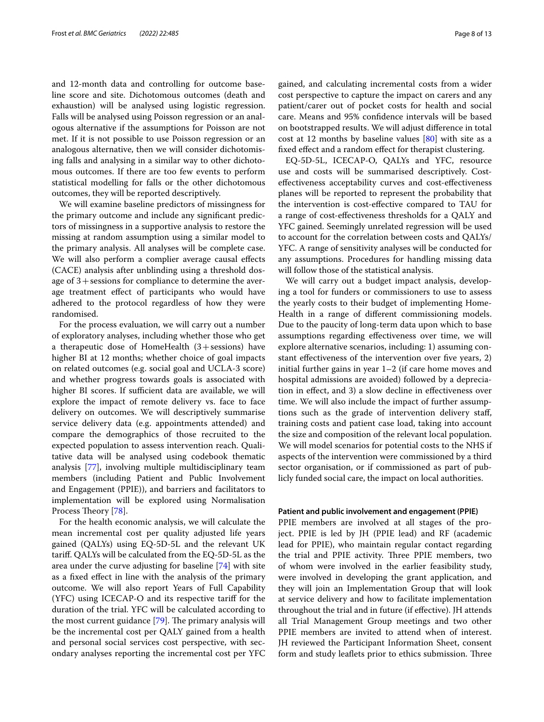and 12-month data and controlling for outcome baseline score and site. Dichotomous outcomes (death and exhaustion) will be analysed using logistic regression. Falls will be analysed using Poisson regression or an analogous alternative if the assumptions for Poisson are not met. If it is not possible to use Poisson regression or an analogous alternative, then we will consider dichotomising falls and analysing in a similar way to other dichotomous outcomes. If there are too few events to perform statistical modelling for falls or the other dichotomous outcomes, they will be reported descriptively.

We will examine baseline predictors of missingness for the primary outcome and include any signifcant predictors of missingness in a supportive analysis to restore the missing at random assumption using a similar model to the primary analysis. All analyses will be complete case. We will also perform a complier average causal efects (CACE) analysis after unblinding using a threshold dosage of 3+sessions for compliance to determine the average treatment efect of participants who would have adhered to the protocol regardless of how they were randomised.

For the process evaluation, we will carry out a number of exploratory analyses, including whether those who get a therapeutic dose of HomeHealth  $(3+$ sessions) have higher BI at 12 months; whether choice of goal impacts on related outcomes (e.g. social goal and UCLA-3 score) and whether progress towards goals is associated with higher BI scores. If sufficient data are available, we will explore the impact of remote delivery vs. face to face delivery on outcomes. We will descriptively summarise service delivery data (e.g. appointments attended) and compare the demographics of those recruited to the expected population to assess intervention reach. Qualitative data will be analysed using codebook thematic analysis [[77\]](#page-11-40), involving multiple multidisciplinary team members (including Patient and Public Involvement and Engagement (PPIE)), and barriers and facilitators to implementation will be explored using Normalisation Process Theory [[78\]](#page-11-41).

For the health economic analysis, we will calculate the mean incremental cost per quality adjusted life years gained (QALYs) using EQ-5D-5L and the relevant UK tarif. QALYs will be calculated from the EQ-5D-5L as the area under the curve adjusting for baseline [\[74](#page-11-37)] with site as a fxed efect in line with the analysis of the primary outcome. We will also report Years of Full Capability (YFC) using ICECAP-O and its respective tarif for the duration of the trial. YFC will be calculated according to the most current guidance  $[79]$  $[79]$  $[79]$ . The primary analysis will be the incremental cost per QALY gained from a health and personal social services cost perspective, with secondary analyses reporting the incremental cost per YFC gained, and calculating incremental costs from a wider cost perspective to capture the impact on carers and any patient/carer out of pocket costs for health and social care. Means and 95% confdence intervals will be based on bootstrapped results. We will adjust diference in total cost at 12 months by baseline values [\[80\]](#page-12-0) with site as a fxed efect and a random efect for therapist clustering.

EQ-5D-5L, ICECAP-O, QALYs and YFC, resource use and costs will be summarised descriptively. Costefectiveness acceptability curves and cost-efectiveness planes will be reported to represent the probability that the intervention is cost-efective compared to TAU for a range of cost-efectiveness thresholds for a QALY and YFC gained. Seemingly unrelated regression will be used to account for the correlation between costs and QALYs/ YFC. A range of sensitivity analyses will be conducted for any assumptions. Procedures for handling missing data will follow those of the statistical analysis.

We will carry out a budget impact analysis, developing a tool for funders or commissioners to use to assess the yearly costs to their budget of implementing Home-Health in a range of diferent commissioning models. Due to the paucity of long-term data upon which to base assumptions regarding efectiveness over time, we will explore alternative scenarios, including: 1) assuming constant effectiveness of the intervention over five years, 2) initial further gains in year 1–2 (if care home moves and hospital admissions are avoided) followed by a depreciation in efect, and 3) a slow decline in efectiveness over time. We will also include the impact of further assumptions such as the grade of intervention delivery staf, training costs and patient case load, taking into account the size and composition of the relevant local population. We will model scenarios for potential costs to the NHS if aspects of the intervention were commissioned by a third sector organisation, or if commissioned as part of publicly funded social care, the impact on local authorities.

#### **Patient and public involvement and engagement (PPIE)**

PPIE members are involved at all stages of the project. PPIE is led by JH (PPIE lead) and RF (academic lead for PPIE), who maintain regular contact regarding the trial and PPIE activity. Three PPIE members, two of whom were involved in the earlier feasibility study, were involved in developing the grant application, and they will join an Implementation Group that will look at service delivery and how to facilitate implementation throughout the trial and in future (if efective). JH attends all Trial Management Group meetings and two other PPIE members are invited to attend when of interest. JH reviewed the Participant Information Sheet, consent form and study leaflets prior to ethics submission. Three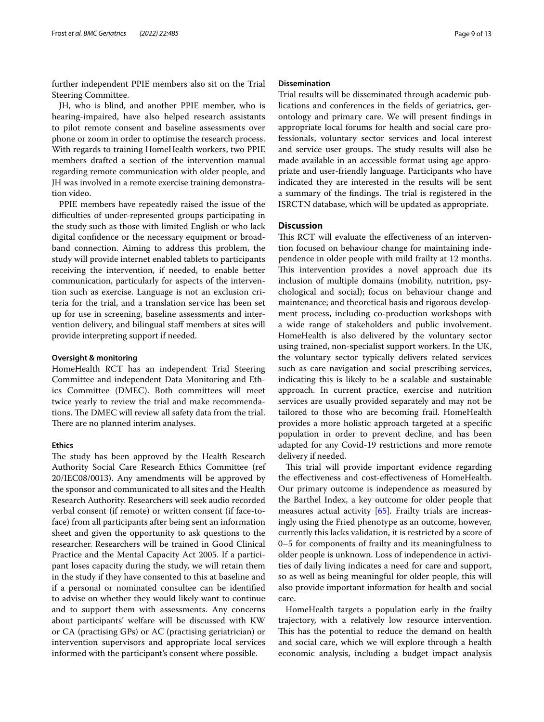further independent PPIE members also sit on the Trial Steering Committee.

JH, who is blind, and another PPIE member, who is hearing-impaired, have also helped research assistants to pilot remote consent and baseline assessments over phone or zoom in order to optimise the research process. With regards to training HomeHealth workers, two PPIE members drafted a section of the intervention manual regarding remote communication with older people, and JH was involved in a remote exercise training demonstration video.

PPIE members have repeatedly raised the issue of the difficulties of under-represented groups participating in the study such as those with limited English or who lack digital confdence or the necessary equipment or broadband connection. Aiming to address this problem, the study will provide internet enabled tablets to participants receiving the intervention, if needed, to enable better communication, particularly for aspects of the intervention such as exercise. Language is not an exclusion criteria for the trial, and a translation service has been set up for use in screening, baseline assessments and intervention delivery, and bilingual staff members at sites will provide interpreting support if needed.

#### **Oversight & monitoring**

HomeHealth RCT has an independent Trial Steering Committee and independent Data Monitoring and Ethics Committee (DMEC). Both committees will meet twice yearly to review the trial and make recommendations. The DMEC will review all safety data from the trial. There are no planned interim analyses.

#### **Ethics**

The study has been approved by the Health Research Authority Social Care Research Ethics Committee (ref 20/IEC08/0013). Any amendments will be approved by the sponsor and communicated to all sites and the Health Research Authority. Researchers will seek audio recorded verbal consent (if remote) or written consent (if face-toface) from all participants after being sent an information sheet and given the opportunity to ask questions to the researcher. Researchers will be trained in Good Clinical Practice and the Mental Capacity Act 2005. If a participant loses capacity during the study, we will retain them in the study if they have consented to this at baseline and if a personal or nominated consultee can be identifed to advise on whether they would likely want to continue and to support them with assessments. Any concerns about participants' welfare will be discussed with KW or CA (practising GPs) or AC (practising geriatrician) or intervention supervisors and appropriate local services informed with the participant's consent where possible.

#### **Dissemination**

Trial results will be disseminated through academic publications and conferences in the felds of geriatrics, gerontology and primary care. We will present fndings in appropriate local forums for health and social care professionals, voluntary sector services and local interest and service user groups. The study results will also be made available in an accessible format using age appropriate and user-friendly language. Participants who have indicated they are interested in the results will be sent a summary of the findings. The trial is registered in the ISRCTN database, which will be updated as appropriate.

## **Discussion**

This RCT will evaluate the effectiveness of an intervention focused on behaviour change for maintaining independence in older people with mild frailty at 12 months. This intervention provides a novel approach due its inclusion of multiple domains (mobility, nutrition, psychological and social); focus on behaviour change and maintenance; and theoretical basis and rigorous development process, including co-production workshops with a wide range of stakeholders and public involvement. HomeHealth is also delivered by the voluntary sector using trained, non-specialist support workers. In the UK, the voluntary sector typically delivers related services such as care navigation and social prescribing services, indicating this is likely to be a scalable and sustainable approach. In current practice, exercise and nutrition services are usually provided separately and may not be tailored to those who are becoming frail. HomeHealth provides a more holistic approach targeted at a specifc population in order to prevent decline, and has been adapted for any Covid-19 restrictions and more remote delivery if needed.

This trial will provide important evidence regarding the efectiveness and cost-efectiveness of HomeHealth. Our primary outcome is independence as measured by the Barthel Index, a key outcome for older people that measures actual activity [[65\]](#page-11-10). Frailty trials are increasingly using the Fried phenotype as an outcome, however, currently this lacks validation, it is restricted by a score of 0–5 for components of frailty and its meaningfulness to older people is unknown. Loss of independence in activities of daily living indicates a need for care and support, so as well as being meaningful for older people, this will also provide important information for health and social care.

HomeHealth targets a population early in the frailty trajectory, with a relatively low resource intervention. This has the potential to reduce the demand on health and social care, which we will explore through a health economic analysis, including a budget impact analysis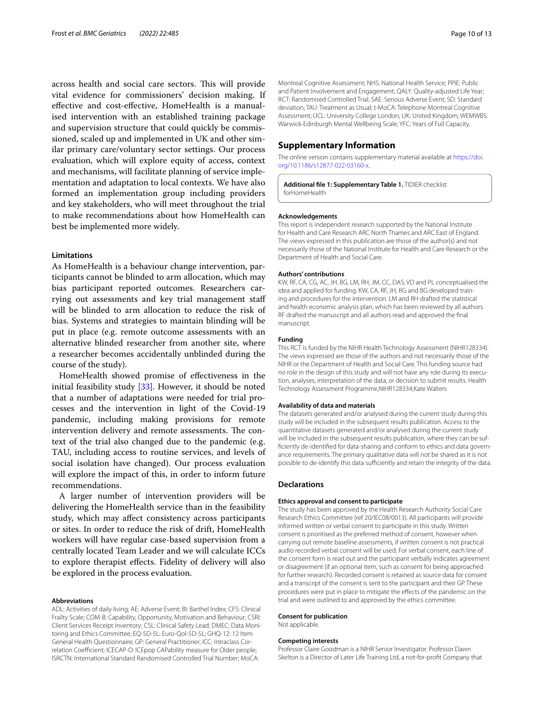across health and social care sectors. This will provide vital evidence for commissioners' decision making. If efective and cost-efective, HomeHealth is a manualised intervention with an established training package and supervision structure that could quickly be commissioned, scaled up and implemented in UK and other similar primary care/voluntary sector settings. Our process evaluation, which will explore equity of access, context and mechanisms, will facilitate planning of service implementation and adaptation to local contexts. We have also formed an implementation group including providers and key stakeholders, who will meet throughout the trial to make recommendations about how HomeHealth can best be implemented more widely.

### **Limitations**

As HomeHealth is a behaviour change intervention, participants cannot be blinded to arm allocation, which may bias participant reported outcomes. Researchers carrying out assessments and key trial management staf will be blinded to arm allocation to reduce the risk of bias. Systems and strategies to maintain blinding will be put in place (e.g. remote outcome assessments with an alternative blinded researcher from another site, where a researcher becomes accidentally unblinded during the course of the study).

HomeHealth showed promise of efectiveness in the initial feasibility study [\[33](#page-10-27)]. However, it should be noted that a number of adaptations were needed for trial processes and the intervention in light of the Covid-19 pandemic, including making provisions for remote intervention delivery and remote assessments. The context of the trial also changed due to the pandemic (e.g. TAU, including access to routine services, and levels of social isolation have changed). Our process evaluation will explore the impact of this, in order to inform future recommendations.

A larger number of intervention providers will be delivering the HomeHealth service than in the feasibility study, which may afect consistency across participants or sites. In order to reduce the risk of drift, HomeHealth workers will have regular case-based supervision from a centrally located Team Leader and we will calculate ICCs to explore therapist efects. Fidelity of delivery will also be explored in the process evaluation.

#### **Abbreviations**

ADL: Activities of daily living; AE: Adverse Event; BI: Barthel Index; CFS: Clinical Frailty Scale; COM-B: Capability, Opportunity, Motivation and Behaviour; CSRI: Client Services Receipt Inventory; CSL: Clinical Safety Lead; DMEC: Data Monitoring and Ethics Committee; EQ-5D-5L: Euro-Qol-5D-5L; GHQ-12: 12 Item General Health Questionnaire; GP: General Practitioner; ICC: Intraclass Correlation Coefficient; ICECAP-O: ICEpop CAPability measure for Older people; ISRCTN: International Standard Randomised Controlled Trial Number; MoCA:

Montreal Cognitive Assessment; NHS: National Health Service; PPIE: Public and Patient Involvement and Engagement; QALY: Quality-adjusted Life Year; RCT: Randomised Controlled Trial; SAE: Serious Adverse Event; SD: Standard deviation; TAU: Treatment as Usual; t-MoCA: Telephone Montreal Cognitive Assessment; UCL: University College London; UK: United Kingdom; WEMWBS: Warwick-Edinburgh Mental Wellbeing Scale; YFC: Years of Full Capacity.

#### **Supplementary Information**

The online version contains supplementary material available at [https://doi.](https://doi.org/10.1186/s12877-022-03160-x) [org/10.1186/s12877-022-03160-x.](https://doi.org/10.1186/s12877-022-03160-x)

<span id="page-9-0"></span>**Additional fle 1: Supplementary Table 1.** TIDIER checklist forHomeHealth

#### **Acknowledgements**

This report is independent research supported by the National Institute for Health and Care Research ARC North Thames and ARC East of England. The views expressed in this publication are those of the author(s) and not necessarily those of the National Institute for Health and Care Research or the Department of Health and Social Care.

#### **Authors' contributions**

KW, RF, CA, CG, AC, JH, BG, LM, RH, JM, CC, DAS, VD and PL conceptualised the idea and applied for funding. KW, CA, RF, JH, RG and BG developed training and procedures for the intervention. LM and RH drafted the statistical and health economic analysis plan, which has been reviewed by all authors. RF drafted the manuscript and all authors read and approved the fnal manuscript.

#### **Funding**

This RCT is funded by the NIHR Health Technology Assessment (NIHR128334). The views expressed are those of the authors and not necessarily those of the NIHR or the Department of Health and Social Care. This funding source had no role in the design of this study and will not have any role during its execution, analyses, interpretation of the data, or decision to submit results. Health Technology Assessment Programme,NIHR128334,Kate Walters

#### **Availability of data and materials**

The datasets generated and/or analysed during the current study during this study will be included in the subsequent results publication. Access to the quantitative datasets generated and/or analysed during the current study will be included in the subsequent results publication, where they can be suffciently de-identifed for data-sharing and conform to ethics and data governance requirements. The primary qualitative data will not be shared as it is not possible to de-identify this data sufficiently and retain the integrity of the data.

#### **Declarations**

#### **Ethics approval and consent to participate**

The study has been approved by the Health Research Authority Social Care Research Ethics Committee (ref 20/IEC08/0013). All participants will provide informed written or verbal consent to participate in this study. Written consent is prioritised as the preferred method of consent, however when carrying out remote baseline assessments, if written consent is not practical audio recorded verbal consent will be used. For verbal consent, each line of the consent form is read out and the participant verbally indicates agreement or disagreement (if an optional item, such as consent for being approached for further research). Recorded consent is retained as source data for consent and a transcript of the consent is sent to the participant and their GP. These procedures were put in place to mitigate the effects of the pandemic on the trial and were outlined to and approved by the ethics committee.

#### **Consent for publication**

Not applicable.

#### **Competing interests**

Professor Claire Goodman is a NIHR Senior Investigator. Professor Dawn Skelton is a Director of Later Life Training Ltd, a not-for-proft Company that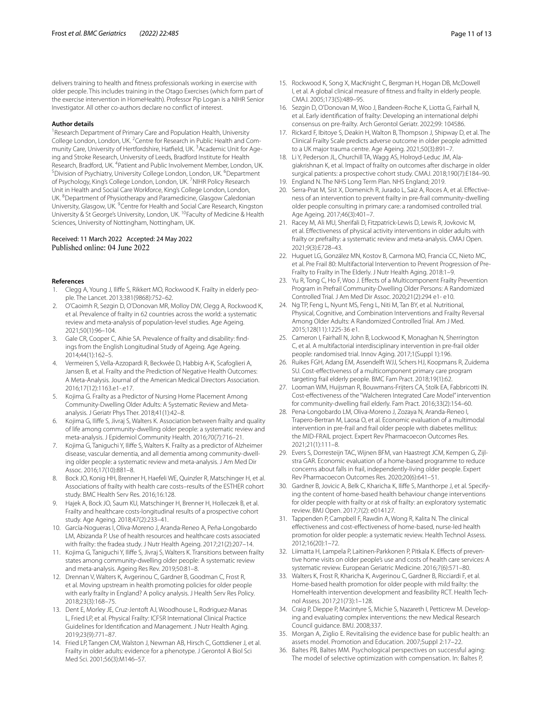delivers training to health and ftness professionals working in exercise with older people. This includes training in the Otago Exercises (which form part of the exercise intervention in HomeHealth). Professor Pip Logan is a NIHR Senior Investigator. All other co-authors declare no confict of interest.

#### **Author details**

<sup>1</sup> Research Department of Primary Care and Population Health, University College London, London, UK. <sup>2</sup> Centre for Research in Public Health and Community Care, University of Hertfordshire, Hatfield, UK. <sup>3</sup> Academic Unit for Ageing and Stroke Research, University of Leeds, Bradford Institute for Health Research, Bradford, UK. <sup>4</sup>Patient and Public Involvement Member, London, UK.<br><sup>5</sup>Division of Psychiatry University College London, London, UK. <sup>6</sup>Denartment Division of Psychiatry, University College London, London, UK. <sup>6</sup>Department of Psychology, King's College London, London, UK. <sup>7</sup>NIHR Policy Research Unit in Health and Social Care Workforce, King's College London, London, UK. <sup>8</sup> Department of Physiotherapy and Paramedicine, Glasgow Caledonian University, Glasgow, UK. <sup>9</sup> Centre for Health and Social Care Research, Kingston University & St George's University, London, UK. <sup>10</sup> Faculty of Medicine & Health Sciences, University of Nottingham, Nottingham, UK.

## Received: 11 March 2022 Accepted: 24 May 2022 Published online: 04 June 2022

#### **References**

- <span id="page-10-0"></span>1. Clegg A, Young J, Ilife S, Rikkert MO, Rockwood K. Frailty in elderly people. The Lancet. 2013;381(9868):752–62.
- <span id="page-10-1"></span>2. O'Caoimh R, Sezgin D, O'Donovan MR, Molloy DW, Clegg A, Rockwood K, et al. Prevalence of frailty in 62 countries across the world: a systematic review and meta-analysis of population-level studies. Age Ageing. 2021;50(1):96–104.
- <span id="page-10-2"></span>3. Gale CR, Cooper C, Aihie SA. Prevalence of frailty and disability: fndings from the English Longitudinal Study of Ageing. Age Ageing. 2014;44(1):162–5.
- <span id="page-10-3"></span>4. Vermeiren S, Vella-Azzopardi R, Beckwée D, Habbig A-K, Scafoglieri A, Jansen B, et al. Frailty and the Prediction of Negative Health Outcomes: A Meta-Analysis. Journal of the American Medical Directors Association. 2016;17(12):1163.e1-.e17.
- 5. Kojima G. Frailty as a Predictor of Nursing Home Placement Among Community-Dwelling Older Adults: A Systematic Review and Metaanalysis. J Geriatr Phys Ther. 2018;41(1):42–8.
- 6. Kojima G, Ilife S, Jivraj S, Walters K. Association between frailty and quality of life among community-dwelling older people: a systematic review and meta-analysis. J Epidemiol Community Health. 2016;70(7):716–21.
- <span id="page-10-4"></span>7. Kojima G, Taniguchi Y, Ilife S, Walters K. Frailty as a predictor of Alzheimer disease, vascular dementia, and all dementia among community-dwelling older people: a systematic review and meta-analysis. J Am Med Dir Assoc. 2016;17(10):881–8.
- <span id="page-10-5"></span>8. Bock JO, Konig HH, Brenner H, Haefeli WE, Quinzler R, Matschinger H, et al. Associations of frailty with health care costs–results of the ESTHER cohort study. BMC Health Serv Res. 2016;16:128.
- 9. Hajek A, Bock JO, Saum KU, Matschinger H, Brenner H, Holleczek B, et al. Frailty and healthcare costs-longitudinal results of a prospective cohort study. Age Ageing. 2018;47(2):233–41.
- <span id="page-10-6"></span>10. García-Nogueras I, Oliva-Moreno J, Aranda-Reneo A, Peña-Longobardo LM, Abizanda P. Use of health resources and healthcare costs associated with frailty: the fradea study. J Nutr Health Ageing. 2017;21(2):207–14.
- <span id="page-10-7"></span>11. Kojima G, Taniguchi Y, Ilife S, Jivraj S, Walters K. Transitions between frailty states among community-dwelling older people: A systematic review and meta-analysis. Ageing Res Rev. 2019;50:81–8.
- <span id="page-10-8"></span>12. Drennan V, Walters K, Avgerinou C, Gardner B, Goodman C, Frost R, et al. Moving upstream in health promoting policies for older people with early frailty in England? A policy analysis. J Health Serv Res Policy. 2018;23(3):168–75.
- <span id="page-10-9"></span>13. Dent E, Morley JE, Cruz-Jentoft AJ, Woodhouse L, Rodriguez-Manas L, Fried LP, et al. Physical Frailty: ICFSR International Clinical Practice Guidelines for Identifcation and Management. J Nutr Health Aging. 2019;23(9):771–87.
- <span id="page-10-10"></span>14. Fried LP, Tangen CM, Walston J, Newman AB, Hirsch C, Gottdiener J, et al. Frailty in older adults: evidence for a phenotype. J Gerontol A Biol Sci Med Sci. 2001;56(3):M146–57.
- <span id="page-10-11"></span>15. Rockwood K, Song X, MacKnight C, Bergman H, Hogan DB, McDowell I, et al. A global clinical measure of ftness and frailty in elderly people. CMAJ. 2005;173(5):489–95.
- <span id="page-10-12"></span>16. Sezgin D, O'Donovan M, Woo J, Bandeen-Roche K, Liotta G, Fairhall N, et al. Early identifcation of frailty: Developing an international delphi consensus on pre-frailty. Arch Gerontol Geriatr. 2022;99: 104586.
- <span id="page-10-13"></span>17. Rickard F, Ibitoye S, Deakin H, Walton B, Thompson J, Shipway D, et al. The Clinical Frailty Scale predicts adverse outcome in older people admitted to a UK major trauma centre. Age Ageing. 2021;50(3):891–7.
- <span id="page-10-14"></span>18. Li Y, Pederson JL, Churchill TA, Wagg AS, Holroyd-Leduc JM, Alagiakrishnan K, et al. Impact of frailty on outcomes after discharge in older surgical patients: a prospective cohort study. CMAJ. 2018;190(7):E184–90.
- <span id="page-10-15"></span>19. England N. The NHS Long Term Plan. NHS England; 2019.
- <span id="page-10-16"></span>20. Serra-Prat M, Sist X, Domenich R, Jurado L, Saiz A, Roces A, et al. Effectiveness of an intervention to prevent frailty in pre-frail community-dwelling older people consulting in primary care: a randomised controlled trial. Age Ageing. 2017;46(3):401–7.
- <span id="page-10-17"></span>21. Racey M, Ali MU, Sherifali D, Fitzpatrick-Lewis D, Lewis R, Jovkovic M, et al. Efectiveness of physical activity interventions in older adults with frailty or prefrailty: a systematic review and meta-analysis. CMAJ Open. 2021;9(3):E728–43.
- <span id="page-10-18"></span>22. Huguet LG, González MN, Kostov B, Carmona MO, Francia CC, Nieto MC, et al. Pre Frail 80: Multifactorial Intervention to Prevent Progression of Pre-Frailty to Frailty in The Elderly. J Nutr Health Aging. 2018:1–9.
- 23. Yu R, Tong C, Ho F, Woo J. Efects of a Multicomponent Frailty Prevention Program in Prefrail Community-Dwelling Older Persons: A Randomized Controlled Trial. J Am Med Dir Assoc. 2020;21(2):294 e1- e10.
- 24. Ng TP, Feng L, Nyunt MS, Feng L, Niti M, Tan BY, et al. Nutritional, Physical, Cognitive, and Combination Interventions and Frailty Reversal Among Older Adults: A Randomized Controlled Trial. Am J Med. 2015;128(11):1225-36 e1.
- <span id="page-10-19"></span>25. Cameron I, Fairhall N, John B, Lockwood K, Monaghan N, Sherrington C, et al. A multifactorial interdisciplinary intervention in pre-frail older people: randomised trial. Innov Aging. 2017;1(Suppl 1):196.
- <span id="page-10-20"></span>26. Ruikes FGH, Adang EM, Assendelft WJJ, Schers HJ, Koopmans R, Zuidema SU. Cost-efectiveness of a multicomponent primary care program targeting frail elderly people. BMC Fam Pract. 2018;19(1):62.
- <span id="page-10-21"></span>27. Looman WM, Huijsman R, Bouwmans-Frijters CA, Stolk EA, Fabbricotti IN. Cost-efectiveness of the "Walcheren Integrated Care Model" intervention for community-dwelling frail elderly. Fam Pract. 2016;33(2):154–60.
- <span id="page-10-22"></span>28. Pena-Longobardo LM, Oliva-Moreno J, Zozaya N, Aranda-Reneo I, Trapero-Bertran M, Laosa O, et al. Economic evaluation of a multimodal intervention in pre-frail and frail older people with diabetes mellitus: the MID-FRAIL project. Expert Rev Pharmacoecon Outcomes Res. 2021;21(1):111–8.
- <span id="page-10-23"></span>29. Evers S, Dorresteijn TAC, Wijnen BFM, van Haastregt JCM, Kempen G, Zijlstra GAR. Economic evaluation of a home-based programme to reduce concerns about falls in frail, independently-living older people. Expert Rev Pharmacoecon Outcomes Res. 2020;20(6):641–51.
- <span id="page-10-24"></span>30. Gardner B, Jovicic A, Belk C, Kharicha K, Ilife S, Manthorpe J, et al. Specifying the content of home-based health behaviour change interventions for older people with frailty or at risk of frailty: an exploratory systematic review. BMJ Open. 2017;7(2): e014127.
- <span id="page-10-25"></span>31. Tappenden P, Campbell F, Rawdin A, Wong R, Kalita N. The clinical efectiveness and cost-efectiveness of home-based, nurse-led health promotion for older people: a systematic review. Health Technol Assess. 2012;16(20):1–72.
- <span id="page-10-26"></span>32. Liimatta H, Lampela P, Laitinen-Parkkonen P, Pitkala K. Efects of preventive home visits on older people's use and costs of health care services: A systematic review. European Geriatric Medicine. 2016;7(6):571–80.
- <span id="page-10-27"></span>33. Walters K, Frost R, Kharicha K, Avgerinou C, Gardner B, Ricciardi F, et al. Home-based health promotion for older people with mild frailty: the HomeHealth intervention development and feasibility RCT. Health Technol Assess. 2017;21(73):1–128.
- <span id="page-10-28"></span>34. Craig P, Dieppe P, Macintyre S, Michie S, Nazareth I, Petticrew M. Developing and evaluating complex interventions: the new Medical Research Council guidance. BMJ. 2008;337.
- <span id="page-10-29"></span>35. Morgan A, Ziglio E. Revitalising the evidence base for public health: an assets model. Promotion and Education. 2007;Suppl 2:17–22.
- <span id="page-10-30"></span>36. Baltes PB, Baltes MM. Psychological perspectives on successful aging: The model of selective optimization with compensation. In: Baltes P,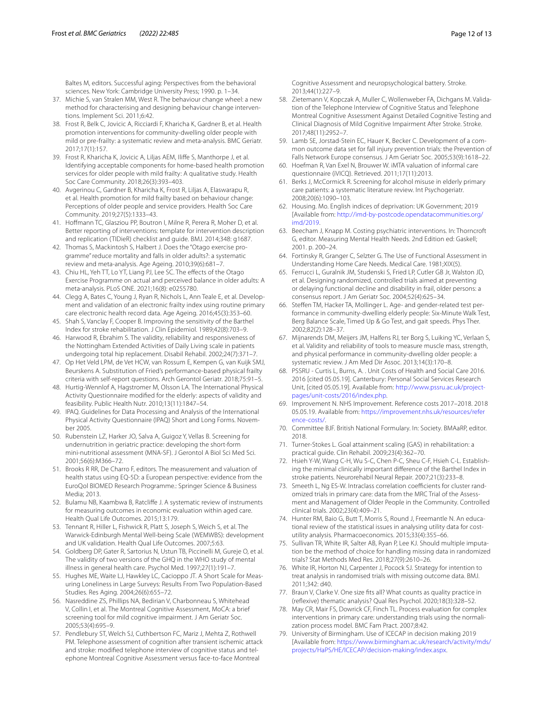Baltes M, editors. Successful aging: Perspectives from the behavioral sciences. New York: Cambridge University Press; 1990. p. 1–34.

- <span id="page-11-0"></span>37. Michie S, van Stralen MM, West R. The behaviour change wheel: a new method for characterising and designing behaviour change interventions. Implement Sci. 2011;6:42.
- <span id="page-11-1"></span>38. Frost R, Belk C, Jovicic A, Ricciardi F, Kharicha K, Gardner B, et al. Health promotion interventions for community-dwelling older people with mild or pre-frailty: a systematic review and meta-analysis. BMC Geriatr. 2017;17(1):157.
- <span id="page-11-2"></span>39. Frost R, Kharicha K, Jovicic A, Liljas AEM, Ilife S, Manthorpe J, et al. Identifying acceptable components for home-based health promotion services for older people with mild frailty: A qualitative study. Health Soc Care Community. 2018;26(3):393–403.
- <span id="page-11-3"></span>40. Avgerinou C, Gardner B, Kharicha K, Frost R, Liljas A, Elaswarapu R, et al. Health promotion for mild frailty based on behaviour change: Perceptions of older people and service providers. Health Soc Care Community. 2019;27(5):1333–43.
- <span id="page-11-4"></span>41. Hofmann TC, Glasziou PP, Boutron I, Milne R, Perera R, Moher D, et al. Better reporting of interventions: template for intervention description and replication (TIDieR) checklist and guide. BMJ. 2014;348: g1687.
- <span id="page-11-5"></span>42. Thomas S, Mackintosh S, Halbert J. Does the "Otago exercise programme" reduce mortality and falls in older adults?: a systematic review and meta-analysis. Age Ageing. 2010;39(6):681–7.
- <span id="page-11-6"></span>43. Chiu HL, Yeh TT, Lo YT, Liang PJ, Lee SC. The efects of the Otago Exercise Programme on actual and perceived balance in older adults: A meta-analysis. PLoS ONE. 2021;16(8): e0255780.
- <span id="page-11-7"></span>44. Clegg A, Bates C, Young J, Ryan R, Nichols L, Ann Teale E, et al. Development and validation of an electronic frailty index using routine primary care electronic health record data. Age Ageing. 2016;45(3):353–60.
- <span id="page-11-8"></span>45. Shah S, Vanclay F, Cooper B. Improving the sensitivity of the Barthel Index for stroke rehabilitation. J Clin Epidemiol. 1989;42(8):703–9.
- <span id="page-11-19"></span>46. Harwood R, Ebrahim S. The validity, reliability and responsiveness of the Nottingham Extended Activities of Daily Living scale in patients undergoing total hip replacement. Disabil Rehabil. 2002;24(7):371–7.
- <span id="page-11-11"></span>47. Op Het Veld LPM, de Vet HCW, van Rossum E, Kempen G, van Kuijk SMJ, Beurskens A. Substitution of Fried's performance-based physical frailty criteria with self-report questions. Arch Gerontol Geriatr. 2018;75:91–5.
- <span id="page-11-20"></span>48. Hurtig-Wennlof A, Hagstromer M, Olsson LA. The International Physical Activity Questionnaire modifed for the elderly: aspects of validity and feasibility. Public Health Nutr. 2010;13(11):1847–54.
- <span id="page-11-21"></span>49. IPAQ. Guidelines for Data Processing and Analysis of the International Physical Activity Questionnaire (IPAQ) Short and Long Forms. November 2005.
- <span id="page-11-22"></span>50. Rubenstein LZ, Harker JO, Salva A, Guigoz Y, Vellas B. Screening for undernutrition in geriatric practice: developing the short-form mini-nutritional assessment (MNA-SF). J Gerontol A Biol Sci Med Sci. 2001;56(6):M366–72.
- <span id="page-11-23"></span>51. Brooks R RR, De Charro F, editors. The measurement and valuation of health status using EQ-5D: a European perspective: evidence from the EuroQol BIOMED Research Programme.: Springer Science & Business Media; 2013.
- <span id="page-11-24"></span>52. Bulamu NB, Kaambwa B, Ratclife J. A systematic review of instruments for measuring outcomes in economic evaluation within aged care. Health Qual Life Outcomes. 2015;13:179.
- <span id="page-11-25"></span>53. Tennant R, Hiller L, Fishwick R, Platt S, Joseph S, Weich S, et al. The Warwick-Edinburgh Mental Well-being Scale (WEMWBS): development and UK validation. Health Qual Life Outcomes. 2007;5:63.
- <span id="page-11-26"></span>54. Goldberg DP, Gater R, Sartorius N, Ustun TB, Piccinelli M, Gureje O, et al. The validity of two versions of the GHQ in the WHO study of mental illness in general health care. Psychol Med. 1997;27(1):191–7.
- <span id="page-11-27"></span>55. Hughes ME, Waite LJ, Hawkley LC, Cacioppo JT. A Short Scale for Measuring Loneliness in Large Surveys: Results From Two Population-Based Studies. Res Aging. 2004;26(6):655–72.
- <span id="page-11-28"></span>56. Nasreddine ZS, Phillips NA, Bedirian V, Charbonneau S, Whitehead V, Collin I, et al. The Montreal Cognitive Assessment, MoCA: a brief screening tool for mild cognitive impairment. J Am Geriatr Soc. 2005;53(4):695–9.
- <span id="page-11-29"></span>57. Pendlebury ST, Welch SJ, Cuthbertson FC, Mariz J, Mehta Z, Rothwell PM. Telephone assessment of cognition after transient ischemic attack and stroke: modifed telephone interview of cognitive status and telephone Montreal Cognitive Assessment versus face-to-face Montreal

Cognitive Assessment and neuropsychological battery. Stroke. 2013;44(1):227–9.

- <span id="page-11-30"></span>58. Zietemann V, Kopczak A, Muller C, Wollenweber FA, Dichgans M. Validation of the Telephone Interview of Cognitive Status and Telephone Montreal Cognitive Assessment Against Detailed Cognitive Testing and Clinical Diagnosis of Mild Cognitive Impairment After Stroke. Stroke. 2017;48(11):2952–7.
- <span id="page-11-31"></span>59. Lamb SE, Jorstad-Stein EC, Hauer K, Becker C. Development of a common outcome data set for fall injury prevention trials: the Prevention of Falls Network Europe consensus. J Am Geriatr Soc. 2005;53(9):1618–22.
- <span id="page-11-18"></span>60. Hoefman R, Van Exel N, Brouwer W. iMTA valuation of informal care questionnaire (iVICQ). Retrieved. 2011;17(11):2013.
- <span id="page-11-32"></span>61. Berks J, McCormick R. Screening for alcohol misuse in elderly primary care patients: a systematic literature review. Int Psychogeriatr. 2008;20(6):1090–103.
- <span id="page-11-33"></span>62. Housing. Mo. English indices of deprivation: UK Government; 2019 [Available from: [http://imd-by-postcode.opendatacommunities.org/](http://imd-by-postcode.opendatacommunities.org/imd/2019) [imd/2019.](http://imd-by-postcode.opendatacommunities.org/imd/2019)
- <span id="page-11-14"></span>63. Beecham J, Knapp M. Costing psychiatric interventions. In: Thorncroft G, editor. Measuring Mental Health Needs. 2nd Edition ed: Gaskell; 2001. p. 200–24.
- <span id="page-11-9"></span>64. Fortinsky R, Granger C, Selzter G. The Use of Functional Assessment in Understanding Home Care Needs. Medical Care. 1981;XIX(5).
- <span id="page-11-10"></span>65. Ferrucci L, Guralnik JM, Studenski S, Fried LP, Cutler GB Jr, Walston JD, et al. Designing randomized, controlled trials aimed at preventing or delaying functional decline and disability in frail, older persons: a consensus report. J Am Geriatr Soc. 2004;52(4):625–34.
- <span id="page-11-12"></span>66. Stefen TM, Hacker TA, Mollinger L. Age- and gender-related test performance in community-dwelling elderly people: Six-Minute Walk Test, Berg Balance Scale, Timed Up & Go Test, and gait speeds. Phys Ther. 2002;82(2):128–37.
- <span id="page-11-13"></span>67. Mijnarends DM, Meijers JM, Halfens RJ, ter Borg S, Luiking YC, Verlaan S, et al. Validity and reliability of tools to measure muscle mass, strength, and physical performance in community-dwelling older people: a systematic review. J Am Med Dir Assoc. 2013;14(3):170–8.
- <span id="page-11-15"></span>68. PSSRU - Curtis L, Burns, A. . Unit Costs of Health and Social Care 2016. 2016 [cited 05.05.19]. Canterbury: Personal Social Services Research Unit, [cited 05.05.19]. Available from: [http://www.pssru.ac.uk/project](http://www.pssru.ac.uk/project-pages/unit-costs/2016/index.php)[pages/unit-costs/2016/index.php](http://www.pssru.ac.uk/project-pages/unit-costs/2016/index.php).
- <span id="page-11-16"></span>69. Improvement N. NHS Improvement. Reference costs 2017–2018. 2018 05.05.19. Available from: [https://improvement.nhs.uk/resources/refer](https://improvement.nhs.uk/resources/reference-costs/) [ence-costs/.](https://improvement.nhs.uk/resources/reference-costs/)
- <span id="page-11-17"></span>70. Committee BJF. British National Formulary. In: Society. BMAaRP, editor. 2018.
- <span id="page-11-34"></span>71. Turner-Stokes L. Goal attainment scaling (GAS) in rehabilitation: a practical guide. Clin Rehabil. 2009;23(4):362–70.
- <span id="page-11-35"></span>72. Hsieh Y-W, Wang C-H, Wu S-C, Chen P-C, Sheu C-F, Hsieh C-L. Establishing the minimal clinically important diference of the Barthel Index in stroke patients. Neurorehabil Neural Repair. 2007;21(3):233–8.
- <span id="page-11-36"></span>73. Smeeth L, Ng ES-W. Intraclass correlation coefficients for cluster randomized trials in primary care: data from the MRC Trial of the Assessment and Management of Older People in the Community. Controlled clinical trials. 2002;23(4):409–21.
- <span id="page-11-37"></span>74. Hunter RM, Baio G, Butt T, Morris S, Round J, Freemantle N. An educational review of the statistical issues in analysing utility data for costutility analysis. Pharmacoeconomics. 2015;33(4):355–66.
- <span id="page-11-38"></span>75. Sullivan TR, White IR, Salter AB, Ryan P, Lee KJ. Should multiple imputation be the method of choice for handling missing data in randomized trials? Stat Methods Med Res. 2018;27(9):2610–26.
- <span id="page-11-39"></span>76. White IR, Horton NJ, Carpenter J, Pocock SJ. Strategy for intention to treat analysis in randomised trials with missing outcome data. BMJ. 2011;342: d40.
- <span id="page-11-40"></span>77. Braun V, Clarke V. One size fts all? What counts as quality practice in (refexive) thematic analysis? Qual Res Psychol. 2020;18(3):328–52.
- <span id="page-11-41"></span>78. May CR, Mair FS, Dowrick CF, Finch TL. Process evaluation for complex interventions in primary care: understanding trials using the normalization process model. BMC Fam Pract. 2007;8:42.
- <span id="page-11-42"></span>79. University of Birmingham. Use of ICECAP in decision making 2019 [Available from: [https://www.birmingham.ac.uk/research/activity/mds/](https://www.birmingham.ac.uk/research/activity/mds/projects/HaPS/HE/ICECAP/decision-making/index.aspx) [projects/HaPS/HE/ICECAP/decision-making/index.aspx.](https://www.birmingham.ac.uk/research/activity/mds/projects/HaPS/HE/ICECAP/decision-making/index.aspx)